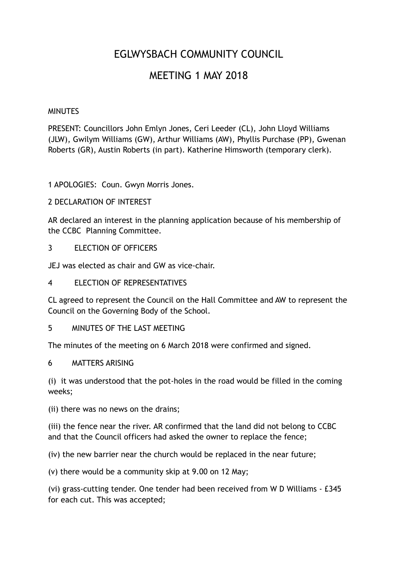# EGLWYSBACH COMMUNITY COUNCIL

# MEETING 1 MAY 2018

### MINUTES

PRESENT: Councillors John Emlyn Jones, Ceri Leeder (CL), John Lloyd Williams (JLW), Gwilym Williams (GW), Arthur Williams (AW), Phyllis Purchase (PP), Gwenan Roberts (GR), Austin Roberts (in part). Katherine Himsworth (temporary clerk).

1 APOLOGIES: Coun. Gwyn Morris Jones.

### 2 DECLARATION OF INTEREST

AR declared an interest in the planning application because of his membership of the CCBC Planning Committee.

3 ELECTION OF OFFICERS

JEJ was elected as chair and GW as vice-chair.

4 ELECTION OF REPRESENTATIVES

CL agreed to represent the Council on the Hall Committee and AW to represent the Council on the Governing Body of the School.

5 MINUTES OF THE LAST MEETING

The minutes of the meeting on 6 March 2018 were confirmed and signed.

6 MATTERS ARISING

(i) it was understood that the pot-holes in the road would be filled in the coming weeks;

(ii) there was no news on the drains;

(iii) the fence near the river. AR confirmed that the land did not belong to CCBC and that the Council officers had asked the owner to replace the fence;

(iv) the new barrier near the church would be replaced in the near future;

(v) there would be a community skip at 9.00 on 12 May;

(vi) grass-cutting tender. One tender had been received from W D Williams - £345 for each cut. This was accepted;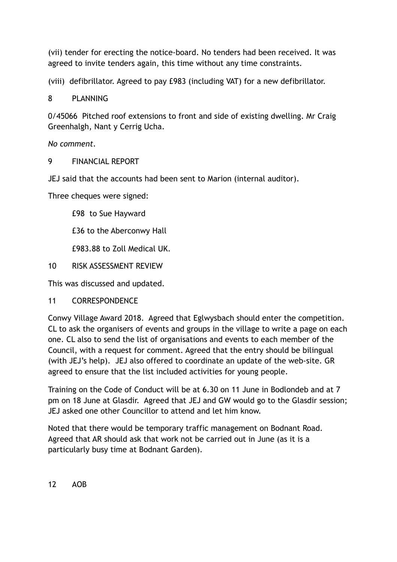(vii) tender for erecting the notice-board. No tenders had been received. It was agreed to invite tenders again, this time without any time constraints.

(viii) defibrillator. Agreed to pay £983 (including VAT) for a new defibrillator.

8 PLANNING

0/45066 Pitched roof extensions to front and side of existing dwelling. Mr Craig Greenhalgh, Nant y Cerrig Ucha.

*No comment.* 

### 9 FINANCIAL REPORT

JEJ said that the accounts had been sent to Marion (internal auditor).

Three cheques were signed:

£98 to Sue Hayward

£36 to the Aberconwy Hall

£983.88 to Zoll Medical UK.

10 RISK ASSESSMENT REVIEW

This was discussed and updated.

11 CORRESPONDENCE

Conwy Village Award 2018. Agreed that Eglwysbach should enter the competition. CL to ask the organisers of events and groups in the village to write a page on each one. CL also to send the list of organisations and events to each member of the Council, with a request for comment. Agreed that the entry should be bilingual (with JEJ's help). JEJ also offered to coordinate an update of the web-site. GR agreed to ensure that the list included activities for young people.

Training on the Code of Conduct will be at 6.30 on 11 June in Bodlondeb and at 7 pm on 18 June at Glasdir. Agreed that JEJ and GW would go to the Glasdir session; JEJ asked one other Councillor to attend and let him know.

Noted that there would be temporary traffic management on Bodnant Road. Agreed that AR should ask that work not be carried out in June (as it is a particularly busy time at Bodnant Garden).

12 AOB